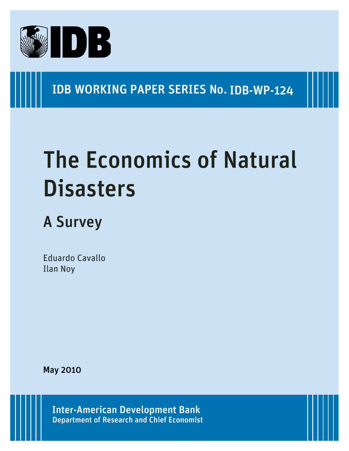

# IDB WORKING PAPER SERIES No. IDB-WP-124

# The Economics of Natural **Disasters**

# A Survey

Eduardo Cavallo Ilan Noy

May 2010

Department of Research and Chief Economist Inter-American Development Bank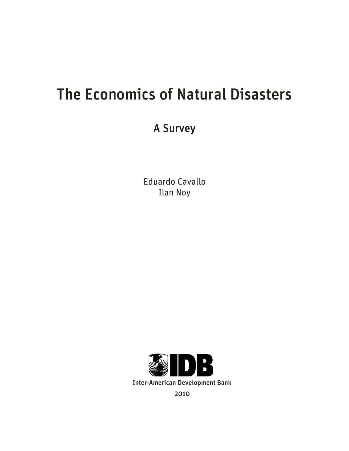# The Economics of Natural Disasters

## A Survey

Eduardo Cavallo Ilan Noy

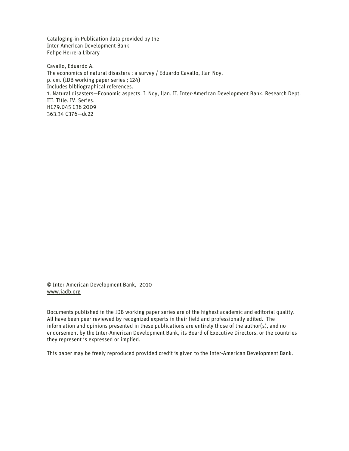Cataloging-in-Publication data provided by the Inter-American Development Bank Felipe Herrera Library

Cavallo, Eduardo A. The economics of natural disasters : a survey / Eduardo Cavallo, Ilan Noy. p. cm. (IDB working paper series ; 124) Includes bibliographical references. 1. Natural disasters—Economic aspects. I. Noy, Ilan. II. Inter-American Development Bank. Research Dept. III. Title. IV. Series. HC79.D45 C38 2009 363.34 C376—dc22

© Inter-American Development Bank, 2010 www.iadb.org

Documents published in the IDB working paper series are of the highest academic and editorial quality. All have been peer reviewed by recognized experts in their field and professionally edited. The information and opinions presented in these publications are entirely those of the author(s), and no endorsement by the Inter-American Development Bank, its Board of Executive Directors, or the countries they represent is expressed or implied.

This paper may be freely reproduced provided credit is given to the Inter-American Development Bank.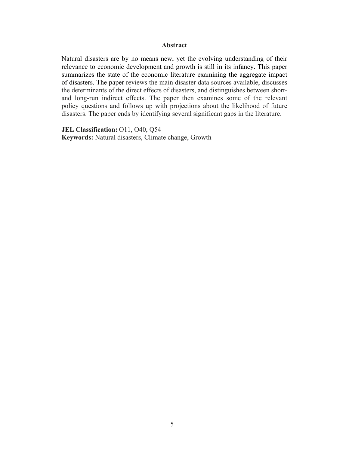#### **Abstract**

Natural disasters are by no means new, yet the evolving understanding of their relevance to economic development and growth is still in its infancy. This paper summarizes the state of the economic literature examining the aggregate impact of disasters. The paper reviews the main disaster data sources available, discusses the determinants of the direct effects of disasters, and distinguishes between shortand long-run indirect effects. The paper then examines some of the relevant policy questions and follows up with projections about the likelihood of future disasters. The paper ends by identifying several significant gaps in the literature.

**JEL Classification:** O11, O40, Q54

**Keywords:** Natural disasters, Climate change, Growth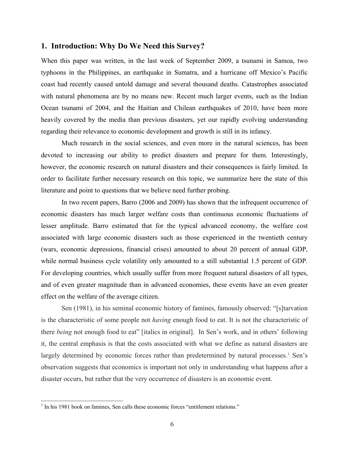#### <span id="page-4-0"></span>**1. Introduction: Why Do We Need this Survey?**

When this paper was written, in the last week of September 2009, a tsunami in Samoa, two typhoons in the Philippines, an earthquake in Sumatra, and a hurricane off Mexico's Pacific coast had recently caused untold damage and several thousand deaths. Catastrophes associated with natural phenomena are by no means new. Recent much larger events, such as the Indian Ocean tsunami of 2004, and the Haitian and Chilean earthquakes of 2010, have been more heavily covered by the media than previous disasters, yet our rapidly evolving understanding regarding their relevance to economic development and growth is still in its infancy.

 Much research in the social sciences, and even more in the natural sciences, has been devoted to increasing our ability to predict disasters and prepare for them. Interestingly, however, the economic research on natural disasters and their consequences is fairly limited. In order to facilitate further necessary research on this topic, we summarize here the state of this literature and point to questions that we believe need further probing.

 In two recent papers, Barro (2006 and 2009) has shown that the infrequent occurrence of economic disasters has much larger welfare costs than continuous economic fluctuations of lesser amplitude. Barro estimated that for the typical advanced economy, the welfare cost associated with large economic disasters such as those experienced in the twentieth century (wars, economic depressions, financial crises) amounted to about 20 percent of annual GDP, while normal business cycle volatility only amounted to a still substantial 1.5 percent of GDP. For developing countries, which usually suffer from more frequent natural disasters of all types, and of even greater magnitude than in advanced economies, these events have an even greater effect on the welfare of the average citizen.

 Sen (1981), in his seminal economic history of famines, famously observed: "[s]tarvation is the characteristic of some people not *having* enough food to eat. It is not the characteristic of there *being* not enough food to eat" [italics in original]. In Sen's work, and in others' following it, the central emphasis is that the costs associated with what we define as natural disasters are largely determined by economic forces rather than predetermined by natural processes.<sup>[1](#page-4-0)</sup> Sen's observation suggests that economics is important not only in understanding what happens after a disaster occurs, but rather that the very occurrence of disasters is an economic event.

<sup>&</sup>lt;sup>1</sup> In his 1981 book on famines, Sen calls these economic forces "entitlement relations."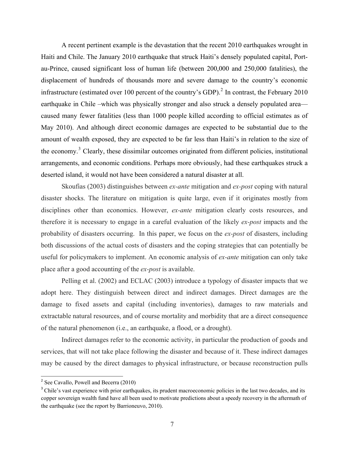<span id="page-5-0"></span> A recent pertinent example is the devastation that the recent 2010 earthquakes wrought in Haiti and Chile. The January 2010 earthquake that struck Haiti's densely populated capital, Portau-Prince, caused significant loss of human life (between 200,000 and 250,000 fatalities), the displacement of hundreds of thousands more and severe damage to the country's economic infrastructure (estimated over 100 percent of the country's GDP).<sup>[2](#page-5-0)</sup> In contrast, the February 2010 earthquake in Chile –which was physically stronger and also struck a densely populated area caused many fewer fatalities (less than 1000 people killed according to official estimates as of May 2010). And although direct economic damages are expected to be substantial due to the amount of wealth exposed, they are expected to be far less than Haiti's in relation to the size of the economy.<sup>[3](#page-5-0)</sup> Clearly, these dissimilar outcomes originated from different policies, institutional arrangements, and economic conditions. Perhaps more obviously, had these earthquakes struck a deserted island, it would not have been considered a natural disaster at all.

Skoufias (2003) distinguishes between *ex-ante* mitigation and *ex-post* coping with natural disaster shocks. The literature on mitigation is quite large, even if it originates mostly from disciplines other than economics. However, *ex-ante* mitigation clearly costs resources, and therefore it is necessary to engage in a careful evaluation of the likely *ex-post* impacts and the probability of disasters occurring. In this paper, we focus on the *ex-post* of disasters, including both discussions of the actual costs of disasters and the coping strategies that can potentially be useful for policymakers to implement. An economic analysis of *ex-ante* mitigation can only take place after a good accounting of the *ex-post* is available.

Pelling et al. (2002) and ECLAC (2003) introduce a typology of disaster impacts that we adopt here. They distinguish between direct and indirect damages. Direct damages are the damage to fixed assets and capital (including inventories), damages to raw materials and extractable natural resources, and of course mortality and morbidity that are a direct consequence of the natural phenomenon (i.e., an earthquake, a flood, or a drought).

Indirect damages refer to the economic activity, in particular the production of goods and services, that will not take place following the disaster and because of it. These indirect damages may be caused by the direct damages to physical infrastructure, or because reconstruction pulls

<sup>&</sup>lt;sup>2</sup> See Cavallo, Powell and Becerra (2010)

<sup>&</sup>lt;sup>3</sup> Chile's vast experience with prior earthquakes, its prudent macroeconomic policies in the last two decades, and its copper sovereign wealth fund have all been used to motivate predictions about a speedy recovery in the aftermath of the earthquake (see the report by Barrioneuvo, 2010).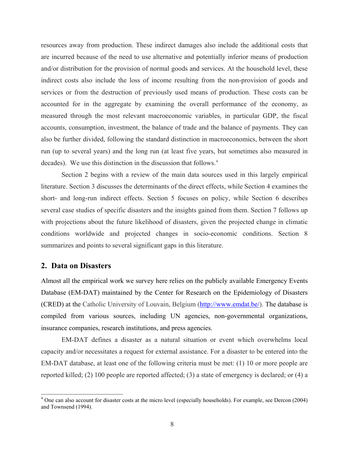<span id="page-6-0"></span>resources away from production. These indirect damages also include the additional costs that are incurred because of the need to use alternative and potentially inferior means of production and/or distribution for the provision of normal goods and services. At the household level, these indirect costs also include the loss of income resulting from the non-provision of goods and services or from the destruction of previously used means of production. These costs can be accounted for in the aggregate by examining the overall performance of the economy, as measured through the most relevant macroeconomic variables, in particular GDP, the fiscal accounts, consumption, investment, the balance of trade and the balance of payments. They can also be further divided, following the standard distinction in macroeconomics, between the short run (up to several years) and the long run (at least five years, but sometimes also measured in decades). We use this distinction in the discussion that follows.<sup>[4](#page-6-0)</sup>

Section 2 begins with a review of the main data sources used in this largely empirical literature. Section 3 discusses the determinants of the direct effects, while Section 4 examines the short- and long-run indirect effects. Section 5 focuses on policy, while Section 6 describes several case studies of specific disasters and the insights gained from them. Section 7 follows up with projections about the future likelihood of disasters, given the projected change in climatic conditions worldwide and projected changes in socio-economic conditions. Section 8 summarizes and points to several significant gaps in this literature.

#### **2. Data on Disasters**

 $\overline{a}$ 

Almost all the empirical work we survey here relies on the publicly available Emergency Events Database (EM-DAT) maintained by the Center for Research on the Epidemiology of Disasters (CRED) at the Catholic University of Louvain, Belgium (<http://www.emdat.be/>). The database is compiled from various sources, including UN agencies, non-governmental organizations, insurance companies, research institutions, and press agencies.

EM-DAT defines a disaster as a natural situation or event which overwhelms local capacity and/or necessitates a request for external assistance. For a disaster to be entered into the EM-DAT database, at least one of the following criteria must be met: (1) 10 or more people are reported killed; (2) 100 people are reported affected; (3) a state of emergency is declared; or (4) a

<sup>&</sup>lt;sup>4</sup> One can also account for disaster costs at the micro level (especially households). For example, see Dercon (2004) and Townsend (1994).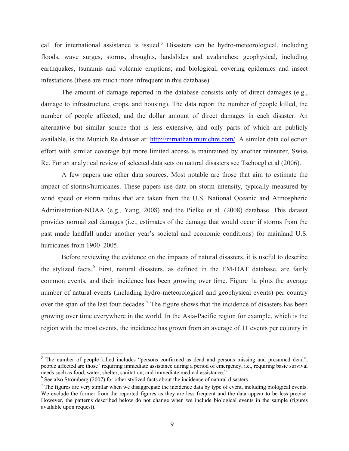<span id="page-7-0"></span>call for international assistance is issued.<sup>[5](#page-7-0)</sup> Disasters can be hydro-meteorological, including floods, wave surges, storms, droughts, landslides and avalanches; geophysical, including earthquakes, tsunamis and volcanic eruptions; and biological, covering epidemics and insect infestations (these are much more infrequent in this database).

The amount of damage reported in the database consists only of direct damages (e.g., damage to infrastructure, crops, and housing). The data report the number of people killed, the number of people affected, and the dollar amount of direct damages in each disaster. An alternative but similar source that is less extensive, and only parts of which are publicly available, is the Munich Re dataset at: [http://mrnathan.munichre.com/.](http://mrnathan.munichre.com/) A similar data collection effort with similar coverage but more limited access is maintained by another reinsurer, Swiss Re. For an analytical review of selected data sets on natural disasters see Tschoegl et al (2006).

A few papers use other data sources. Most notable are those that aim to estimate the impact of storms/hurricanes. These papers use data on storm intensity, typically measured by wind speed or storm radius that are taken from the U.S. National Oceanic and Atmospheric Administration*-*NOAA (e.g., Yang, 2008) and the Pielke et al. (2008) database. This dataset provides normalized damages (i.e., estimates of the damage that would occur if storms from the past made landfall under another year's societal and economic conditions) for mainland U.S. hurricanes from 1900–2005

Before reviewing the evidence on the impacts of natural disasters, it is useful to describe the stylized facts.<sup>[6](#page-7-0)</sup> First, natural disasters, as defined in the EM-DAT database, are fairly common events, and their incidence has been growing over time. Figure 1a plots the average number of natural events (including hydro-meteorological and geophysical events) per country over the span of the last four decades.<sup>[7](#page-7-0)</sup> The figure shows that the incidence of disasters has been growing over time everywhere in the world. In the Asia-Pacific region for example, which is the region with the most events, the incidence has grown from an average of 11 events per country in

 $5$  The number of people killed includes "persons confirmed as dead and persons missing and presumed dead"; people affected are those "requiring immediate assistance during a period of emergency, i.e., requiring basic survival<br>needs such as food, water, shelter, sanitation, and immediate medical assistance."

 $6$  See also Strömberg (2007) for other stylized facts about the incidence of natural disasters.

 $<sup>7</sup>$  The figures are very similar when we disaggregate the incidence data by type of event, including biological events.</sup> We exclude the former from the reported figures as they are less frequent and the data appear to be less precise. However, the patterns described below do not change when we include biological events in the sample (figures available upon request).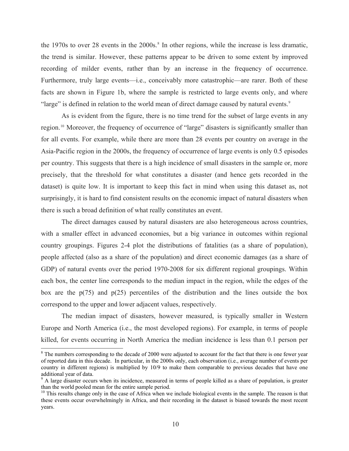<span id="page-8-0"></span>the 1970s to over 2[8](#page-8-0) events in the 2000s.<sup>8</sup> In other regions, while the increase is less dramatic, the trend is similar. However, these patterns appear to be driven to some extent by improved recording of milder events, rather than by an increase in the frequency of occurrence. Furthermore, truly large events—i.e., conceivably more catastrophic—are rarer. Both of these facts are shown in Figure 1b, where the sample is restricted to large events only, and where "large" is defined in relation to the world mean of direct damage caused by natural events.<sup>[9](#page-8-0)</sup>

As is evident from the figure, there is no time trend for the subset of large events in any region.[10](#page-8-0) Moreover, the frequency of occurrence of "large" disasters is significantly smaller than for all events. For example, while there are more than 28 events per country on average in the Asia-Pacific region in the 2000s, the frequency of occurrence of large events is only 0.5 episodes per country. This suggests that there is a high incidence of small disasters in the sample or, more precisely, that the threshold for what constitutes a disaster (and hence gets recorded in the dataset) is quite low. It is important to keep this fact in mind when using this dataset as, not surprisingly, it is hard to find consistent results on the economic impact of natural disasters when there is such a broad definition of what really constitutes an event.

The direct damages caused by natural disasters are also heterogeneous across countries, with a smaller effect in advanced economies, but a big variance in outcomes within regional country groupings. Figures 2-4 plot the distributions of fatalities (as a share of population), people affected (also as a share of the population) and direct economic damages (as a share of GDP) of natural events over the period 1970-2008 for six different regional groupings. Within each box, the center line corresponds to the median impact in the region, while the edges of the box are the  $p(75)$  and  $p(25)$  percentiles of the distribution and the lines outside the box correspond to the upper and lower adjacent values, respectively.

The median impact of disasters, however measured, is typically smaller in Western Europe and North America (i.e., the most developed regions). For example, in terms of people killed, for events occurring in North America the median incidence is less than 0.1 person per

<sup>&</sup>lt;sup>8</sup> The numbers corresponding to the decade of 2000 were adjusted to account for the fact that there is one fewer year of reported data in this decade. In particular, in the 2000s only, each observation (i.e., average number of events per country in different regions) is multiplied by 10/9 to make them comparable to previous decades that have one additional year of data.

<sup>&</sup>lt;sup>9</sup> A large disaster occurs when its incidence, measured in terms of people killed as a share of population, is greater than the world pooled mean for the entire sample period.<br><sup>10</sup> This results change only in the case of Africa when we include biological events in the sample. The reason is that

these events occur overwhelmingly in Africa, and their recording in the dataset is biased towards the most recent years.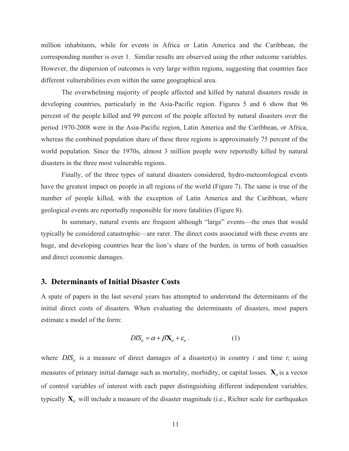million inhabitants, while for events in Africa or Latin America and the Caribbean, the corresponding number is over 1. Similar results are observed using the other outcome variables. However, the dispersion of outcomes is very large within regions, suggesting that countries face different vulnerabilities even within the same geographical area.

The overwhelming majority of people affected and killed by natural disasters reside in developing countries, particularly in the Asia-Pacific region. Figures 5 and 6 show that 96 percent of the people killed and 99 percent of the people affected by natural disasters over the period 1970-2008 were in the Asia-Pacific region, Latin America and the Caribbean, or Africa, whereas the combined population share of these three regions is approximately 75 percent of the world population. Since the 1970s, almost 3 million people were reportedly killed by natural disasters in the three most vulnerable regions.

Finally, of the three types of natural disasters considered, hydro-meteorological events have the greatest impact on people in all regions of the world (Figure 7). The same is true of the number of people killed, with the exception of Latin America and the Caribbean, where geological events are reportedly responsible for more fatalities (Figure 8).

In summary, natural events are frequent although "large" events—the ones that would typically be considered catastrophic—are rarer. The direct costs associated with these events are huge, and developing countries bear the lion's share of the burden, in terms of both casualties and direct economic damages.

#### **3. Determinants of Initial Disaster Costs**

A spate of papers in the last several years has attempted to understand the determinants of the initial direct costs of disasters. When evaluating the determinants of disasters, most papers estimate a model of the form:

$$
DIS_{it} = \alpha + \beta \mathbf{X}_{it} + \varepsilon_{it} \,. \tag{1}
$$

where  $DIS_{it}$  is a measure of direct damages of a disaster(s) in country *i* and time *t*; using typically  $\mathbf{X}_{it}$  will include a measure of the disaster magnitude (i.e., Richter scale for earthquakes measures of primary initial damage such as mortality, morbidity, or capital losses.  $\mathbf{X}_i$  is a vector of control variables of interest with each paper distinguishing different independent variables;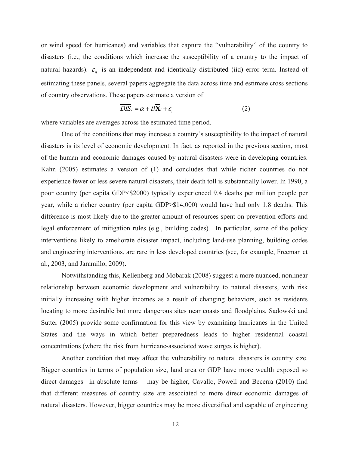or wind speed for hurricanes) and variables that capture the "vulnerability" of the country to disasters (i.e., the conditions which increase the susceptibility of a country to the impact of natural hazards).  $\varepsilon_{it}$  is an independent and identically distributed (iid) error term. Instead of estimating these panels, several papers aggregate the data across time and estimate cross sections of country observations. These papers estimate a version of

$$
\overline{DIS}_i = \alpha + \beta \overline{\mathbf{X}}_i + \varepsilon_i \tag{2}
$$

where variables are averages across the estimated time period.

 One of the conditions that may increase a country's susceptibility to the impact of natural disasters is its level of economic development. In fact, as reported in the previous section, most of the human and economic damages caused by natural disasters were in developing countries. Kahn (2005) estimates a version of (1) and concludes that while richer countries do not experience fewer or less severe natural disasters, their death toll is substantially lower. In 1990, a poor country (per capita GDP<\$2000) typically experienced 9.4 deaths per million people per year, while a richer country (per capita GDP>\$14,000) would have had only 1.8 deaths. This difference is most likely due to the greater amount of resources spent on prevention efforts and legal enforcement of mitigation rules (e.g., building codes). In particular, some of the policy interventions likely to ameliorate disaster impact, including land-use planning, building codes and engineering interventions, are rare in less developed countries (see, for example, Freeman et al., 2003, and Jaramillo, 2009).

Notwithstanding this, Kellenberg and Mobarak (2008) suggest a more nuanced, nonlinear relationship between economic development and vulnerability to natural disasters, with risk initially increasing with higher incomes as a result of changing behaviors, such as residents locating to more desirable but more dangerous sites near coasts and floodplains. Sadowski and Sutter (2005) provide some confirmation for this view by examining hurricanes in the United States and the ways in which better preparedness leads to higher residential coastal concentrations (where the risk from hurricane-associated wave surges is higher).

Another condition that may affect the vulnerability to natural disasters is country size. Bigger countries in terms of population size, land area or GDP have more wealth exposed so direct damages –in absolute terms— may be higher, Cavallo, Powell and Becerra (2010) find that different measures of country size are associated to more direct economic damages of natural disasters. However, bigger countries may be more diversified and capable of engineering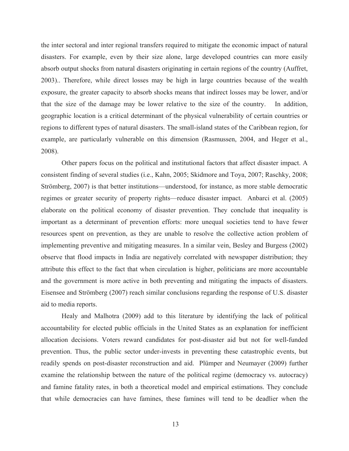the inter sectoral and inter regional transfers required to mitigate the economic impact of natural disasters. For example, even by their size alone, large developed countries can more easily absorb output shocks from natural disasters originating in certain regions of the country (Auffret, 2003).. Therefore, while direct losses may be high in large countries because of the wealth exposure, the greater capacity to absorb shocks means that indirect losses may be lower, and/or that the size of the damage may be lower relative to the size of the country. In addition, geographic location is a critical determinant of the physical vulnerability of certain countries or regions to different types of natural disasters. The small-island states of the Caribbean region, for example, are particularly vulnerable on this dimension (Rasmussen, 2004, and Heger et al., 2008).

Other papers focus on the political and institutional factors that affect disaster impact. A consistent finding of several studies (i.e., Kahn, 2005; Skidmore and Toya, 2007; Raschky, 2008; Strömberg, 2007) is that better institutions—understood, for instance, as more stable democratic regimes or greater security of property rights—reduce disaster impact. Anbarci et al. (2005) elaborate on the political economy of disaster prevention. They conclude that inequality is important as a determinant of prevention efforts: more unequal societies tend to have fewer resources spent on prevention, as they are unable to resolve the collective action problem of implementing preventive and mitigating measures. In a similar vein, Besley and Burgess (2002) observe that flood impacts in India are negatively correlated with newspaper distribution; they attribute this effect to the fact that when circulation is higher, politicians are more accountable and the government is more active in both preventing and mitigating the impacts of disasters. Eisensee and Strömberg (2007) reach similar conclusions regarding the response of U.S. disaster aid to media reports.

Healy and Malhotra (2009) add to this literature by identifying the lack of political accountability for elected public officials in the United States as an explanation for inefficient allocation decisions. Voters reward candidates for post-disaster aid but not for well-funded prevention. Thus, the public sector under-invests in preventing these catastrophic events, but readily spends on post-disaster reconstruction and aid. Plümper and Neumayer (2009) further examine the relationship between the nature of the political regime (democracy vs. autocracy) and famine fatality rates, in both a theoretical model and empirical estimations. They conclude that while democracies can have famines, these famines will tend to be deadlier when the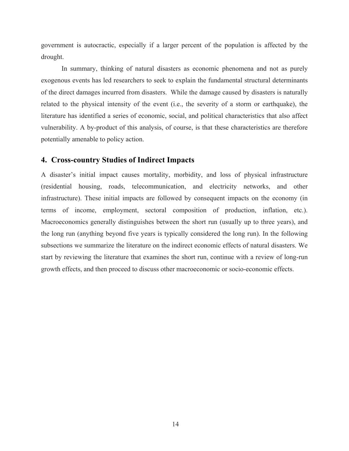government is autocractic, especially if a larger percent of the population is affected by the drought.

In summary, thinking of natural disasters as economic phenomena and not as purely exogenous events has led researchers to seek to explain the fundamental structural determinants of the direct damages incurred from disasters. While the damage caused by disasters is naturally related to the physical intensity of the event (i.e., the severity of a storm or earthquake), the literature has identified a series of economic, social, and political characteristics that also affect vulnerability. A by-product of this analysis, of course, is that these characteristics are therefore potentially amenable to policy action.

#### **4. Cross-country Studies of Indirect Impacts**

A disaster's initial impact causes mortality, morbidity, and loss of physical infrastructure (residential housing, roads, telecommunication, and electricity networks, and other infrastructure). These initial impacts are followed by consequent impacts on the economy (in terms of income, employment, sectoral composition of production, inflation, etc.). Macroeconomics generally distinguishes between the short run (usually up to three years), and the long run (anything beyond five years is typically considered the long run). In the following subsections we summarize the literature on the indirect economic effects of natural disasters. We start by reviewing the literature that examines the short run, continue with a review of long-run growth effects, and then proceed to discuss other macroeconomic or socio-economic effects.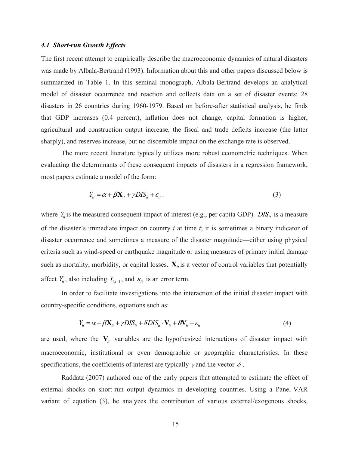#### *4.1 Short-run Growth Effects*

The first recent attempt to empirically describe the macroeconomic dynamics of natural disasters was made by Albala-Bertrand (1993). Information about this and other papers discussed below is summarized in Table 1. In this seminal monograph, Albala-Bertrand develops an analytical model of disaster occurrence and reaction and collects data on a set of disaster events: 28 disasters in 26 countries during 1960-1979. Based on before-after statistical analysis, he finds that GDP increases (0.4 percent), inflation does not change, capital formation is higher, agricultural and construction output increase, the fiscal and trade deficits increase (the latter sharply), and reserves increase, but no discernible impact on the exchange rate is observed.

The more recent literature typically utilizes more robust econometric techniques. When evaluating the determinants of these consequent impacts of disasters in a regression framework, most papers estimate a model of the form:

$$
Y_{it} = \alpha + \beta \mathbf{X}_{it} + \gamma D I S_{it} + \varepsilon_{it}.
$$
\n(3)

where  $Y_{ii}$  is the measured consequent impact of interest (e.g., per capita GDP).  $DIS_{ii}$  is a measure of the disaster's immediate impact on country *i* at time *t*; it is sometimes a binary indicator of disaster occurrence and sometimes a measure of the disaster magnitude—either using physical criteria such as wind-speed or earthquake magnitude or using measures of primary initial damage such as mortality, morbidity, or capital losses.  $\mathbf{X}_i$  is a vector of control variables that potentially affect  $Y_i$ , also including  $Y_{i,t-1}$ , and  $\varepsilon_i$  is an error term.

In order to facilitate investigations into the interaction of the initial disaster impact with country-specific conditions, equations such as:

$$
Y_{it} = \alpha + \beta \mathbf{X}_{it} + \gamma D I S_{it} + \delta D I S_{it} \cdot \mathbf{V}_{it} + \mathcal{S} \mathbf{V}_{it} + \varepsilon_{it}
$$
(4)

are used, where the  $V_i$  variables are the hypothesized interactions of disaster impact with macroeconomic, institutional or even demographic or geographic characteristics. In these specifications, the coefficients of interest are typically  $\gamma$  and the vector  $\delta$ .

Raddatz (2007) authored one of the early papers that attempted to estimate the effect of external shocks on short-run output dynamics in developing countries. Using a Panel-VAR variant of equation (3), he analyzes the contribution of various external/exogenous shocks,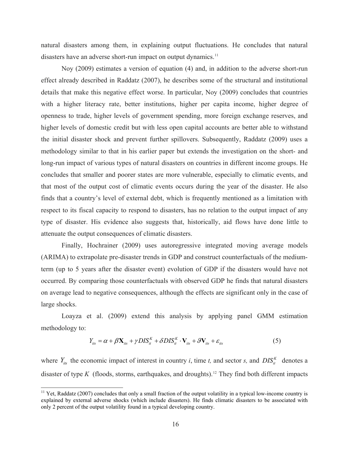<span id="page-14-0"></span>natural disasters among them, in explaining output fluctuations. He concludes that natural disasters have an adverse short-run impact on output dynamics.<sup>[11](#page-14-0)</sup>

Noy (2009) estimates a version of equation (4) and, in addition to the adverse short-run effect already described in Raddatz (2007), he describes some of the structural and institutional details that make this negative effect worse. In particular, Noy (2009) concludes that countries with a higher literacy rate, better institutions, higher per capita income, higher degree of openness to trade, higher levels of government spending, more foreign exchange reserves, and higher levels of domestic credit but with less open capital accounts are better able to withstand the initial disaster shock and prevent further spillovers. Subsequently, Raddatz (2009) uses a methodology similar to that in his earlier paper but extends the investigation on the short- and long-run impact of various types of natural disasters on countries in different income groups. He concludes that smaller and poorer states are more vulnerable, especially to climatic events, and that most of the output cost of climatic events occurs during the year of the disaster. He also finds that a country's level of external debt, which is frequently mentioned as a limitation with respect to its fiscal capacity to respond to disasters, has no relation to the output impact of any type of disaster. His evidence also suggests that, historically, aid flows have done little to attenuate the output consequences of climatic disasters.

Finally, Hochrainer (2009) uses autoregressive integrated moving average models (ARIMA) to extrapolate pre-disaster trends in GDP and construct counterfactuals of the mediumterm (up to 5 years after the disaster event) evolution of GDP if the disasters would have not occurred. By comparing those counterfactuals with observed GDP he finds that natural disasters on average lead to negative consequences, although the effects are significant only in the case of large shocks.

Loayza et al. (2009) extend this analysis by applying panel GMM estimation methodology to:

$$
Y_{\text{its}} = \alpha + \beta \mathbf{X}_{\text{its}} + \gamma D I S_{\text{it}}^{K} + \delta D I S_{\text{it}}^{K} \cdot \mathbf{V}_{\text{its}} + \mathcal{S} \mathbf{V}_{\text{its}} + \varepsilon_{\text{its}}
$$
(5)

where  $Y_{ik}$  the economic impact of interest in country *i*, time *t*, and sector *s*, and  $DIS_{it}^K$  denotes a disaster of type  $K$  (floods, storms, earthquakes, and droughts).<sup>[12](#page-14-0)</sup> They find both different impacts

<sup>&</sup>lt;sup>11</sup> Yet, Raddatz (2007) concludes that only a small fraction of the output volatility in a typical low-income country is explained by external adverse shocks (which include disasters). He finds climatic disasters to be associated with only 2 percent of the output volatility found in a typical developing country.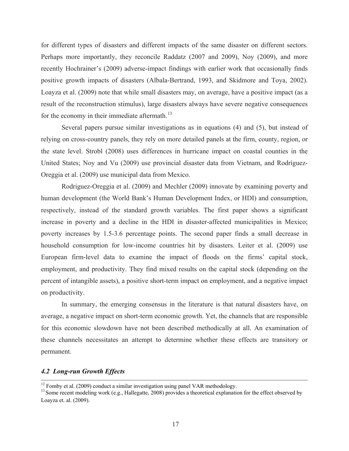<span id="page-15-0"></span>for different types of disasters and different impacts of the same disaster on different sectors. Perhaps more importantly, they reconcile Raddatz (2007 and 2009), Noy (2009), and more recently Hochrainer's (2009) adverse-impact findings with earlier work that occasionally finds positive growth impacts of disasters (Albala-Bertrand, 1993, and Skidmore and Toya, 2002). Loayza et al. (2009) note that while small disasters may, on average, have a positive impact (as a result of the reconstruction stimulus), large disasters always have severe negative consequences for the economy in their immediate aftermath. $^{13}$  $^{13}$  $^{13}$ 

Several papers pursue similar investigations as in equations (4) and (5), but instead of relying on cross-country panels, they rely on more detailed panels at the firm, county, region, or the state level. Strobl (2008) uses differences in hurricane impact on coastal counties in the United States; Noy and Vu (2009) use provincial disaster data from Vietnam, and Rodríguez-Oreggia et al. (2009) use municipal data from Mexico.

Rodriguez-Oreggia et al. (2009) and Mechler (2009) innovate by examining poverty and human development (the World Bank's Human Development Index, or HDI) and consumption, respectively, instead of the standard growth variables. The first paper shows a significant increase in poverty and a decline in the HDI in disaster-affected municipalities in Mexico; poverty increases by 1.5-3.6 percentage points. The second paper finds a small decrease in household consumption for low-income countries hit by disasters. Leiter et al. (2009) use European firm-level data to examine the impact of floods on the firms' capital stock, employment, and productivity. They find mixed results on the capital stock (depending on the percent of intangible assets), a positive short-term impact on employment, and a negative impact on productivity.

In summary, the emerging consensus in the literature is that natural disasters have, on average, a negative impact on short-term economic growth. Yet, the channels that are responsible for this economic slowdown have not been described methodically at all. An examination of these channels necessitates an attempt to determine whether these effects are transitory or permanent.

#### *4.2 Long-run Growth Effects*

 $12$  Fomby et al. (2009) conduct a similar investigation using panel VAR methodology.

<sup>&</sup>lt;sup>13</sup> Some recent modeling work (e.g., Hallegatte, 2008) provides a theoretical explanation for the effect observed by Loayza et. al. (2009).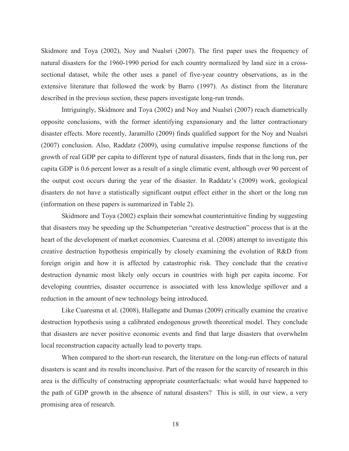Skidmore and Toya (2002), Noy and Nualsri (2007). The first paper uses the frequency of natural disasters for the 1960-1990 period for each country normalized by land size in a crosssectional dataset, while the other uses a panel of five-year country observations, as in the extensive literature that followed the work by Barro (1997). As distinct from the literature described in the previous section, these papers investigate long-run trends.

Intriguingly, Skidmore and Toya (2002) and Noy and Nualsri (2007) reach diametrically opposite conclusions, with the former identifying expansionary and the latter contractionary disaster effects. More recently, Jaramillo (2009) finds qualified support for the Noy and Nualsri (2007) conclusion. Also, Raddatz (2009), using cumulative impulse response functions of the growth of real GDP per capita to different type of natural disasters, finds that in the long run, per capita GDP is 0.6 percent lower as a result of a single climatic event, although over 90 percent of the output cost occurs during the year of the disaster. In Raddatz's (2009) work, geological disasters do not have a statistically significant output effect either in the short or the long run (information on these papers is summarized in Table 2).

Skidmore and Toya (2002) explain their somewhat counterintuitive finding by suggesting that disasters may be speeding up the Schumpeterian "creative destruction" process that is at the heart of the development of market economies. Cuaresma et al. (2008) attempt to investigate this creative destruction hypothesis empirically by closely examining the evolution of R&D from foreign origin and how it is affected by catastrophic risk. They conclude that the creative destruction dynamic most likely only occurs in countries with high per capita income. For developing countries, disaster occurrence is associated with less knowledge spillover and a reduction in the amount of new technology being introduced.

Like Cuaresma et al. (2008), Hallegatte and Dumas (2009) critically examine the creative destruction hypothesis using a calibrated endogenous growth theoretical model. They conclude that disasters are never positive economic events and find that large disasters that overwhelm local reconstruction capacity actually lead to poverty traps.

When compared to the short-run research, the literature on the long-run effects of natural disasters is scant and its results inconclusive. Part of the reason for the scarcity of research in this area is the difficulty of constructing appropriate counterfactuals: what would have happened to the path of GDP growth in the absence of natural disasters? This is still, in our view, a very promising area of research.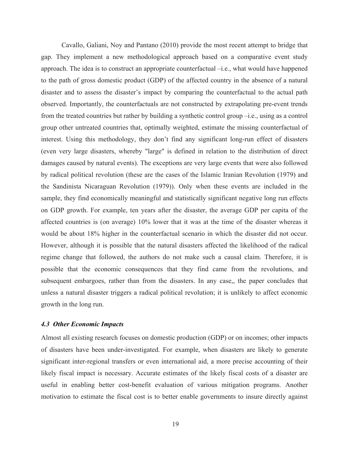Cavallo, Galiani, Noy and Pantano (2010) provide the most recent attempt to bridge that gap. They implement a new methodological approach based on a comparative event study approach. The idea is to construct an appropriate counterfactual –i.e., what would have happened to the path of gross domestic product (GDP) of the affected country in the absence of a natural disaster and to assess the disaster's impact by comparing the counterfactual to the actual path observed. Importantly, the counterfactuals are not constructed by extrapolating pre-event trends from the treated countries but rather by building a synthetic control group –i.e., using as a control group other untreated countries that, optimally weighted, estimate the missing counterfactual of interest. Using this methodology, they don't find any significant long-run effect of disasters (even very large disasters, whereby "large" is defined in relation to the distribution of direct damages caused by natural events). The exceptions are very large events that were also followed by radical political revolution (these are the cases of the Islamic Iranian Revolution (1979) and the Sandinista Nicaraguan Revolution (1979)). Only when these events are included in the sample, they find economically meaningful and statistically significant negative long run effects on GDP growth. For example, ten years after the disaster, the average GDP per capita of the affected countries is (on average) 10% lower that it was at the time of the disaster whereas it would be about 18% higher in the counterfactual scenario in which the disaster did not occur. However, although it is possible that the natural disasters affected the likelihood of the radical regime change that followed, the authors do not make such a causal claim. Therefore, it is possible that the economic consequences that they find came from the revolutions, and subsequent embargoes, rather than from the disasters. In any case,, the paper concludes that unless a natural disaster triggers a radical political revolution; it is unlikely to affect economic growth in the long run.

#### *4.3 Other Economic Impacts*

Almost all existing research focuses on domestic production (GDP) or on incomes; other impacts of disasters have been under-investigated. For example, when disasters are likely to generate significant inter-regional transfers or even international aid, a more precise accounting of their likely fiscal impact is necessary. Accurate estimates of the likely fiscal costs of a disaster are useful in enabling better cost-benefit evaluation of various mitigation programs. Another motivation to estimate the fiscal cost is to better enable governments to insure directly against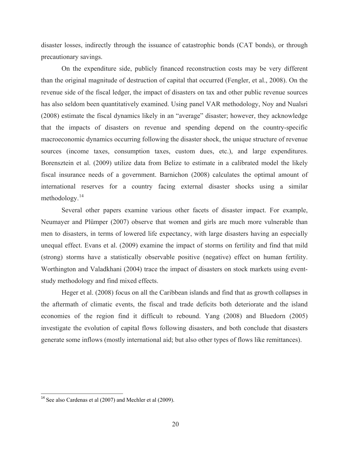<span id="page-18-0"></span>disaster losses, indirectly through the issuance of catastrophic bonds (CAT bonds), or through precautionary savings.

On the expenditure side, publicly financed reconstruction costs may be very different than the original magnitude of destruction of capital that occurred (Fengler, et al., 2008). On the revenue side of the fiscal ledger, the impact of disasters on tax and other public revenue sources has also seldom been quantitatively examined. Using panel VAR methodology, Noy and Nualsri (2008) estimate the fiscal dynamics likely in an "average" disaster; however, they acknowledge that the impacts of disasters on revenue and spending depend on the country-specific macroeconomic dynamics occurring following the disaster shock, the unique structure of revenue sources (income taxes, consumption taxes, custom dues, etc.), and large expenditures. Borensztein et al. (2009) utilize data from Belize to estimate in a calibrated model the likely fiscal insurance needs of a government. Barnichon (2008) calculates the optimal amount of international reserves for a country facing external disaster shocks using a similar methodology.<sup>[14](#page-18-0)</sup>

Several other papers examine various other facets of disaster impact. For example, Neumayer and Plümper (2007) observe that women and girls are much more vulnerable than men to disasters, in terms of lowered life expectancy, with large disasters having an especially unequal effect. Evans et al. (2009) examine the impact of storms on fertility and find that mild (strong) storms have a statistically observable positive (negative) effect on human fertility. Worthington and Valadkhani (2004) trace the impact of disasters on stock markets using eventstudy methodology and find mixed effects.

Heger et al. (2008) focus on all the Caribbean islands and find that as growth collapses in the aftermath of climatic events, the fiscal and trade deficits both deteriorate and the island economies of the region find it difficult to rebound. Yang (2008) and Bluedorn (2005) investigate the evolution of capital flows following disasters, and both conclude that disasters generate some inflows (mostly international aid; but also other types of flows like remittances).

 $14$  See also Cardenas et al (2007) and Mechler et al (2009).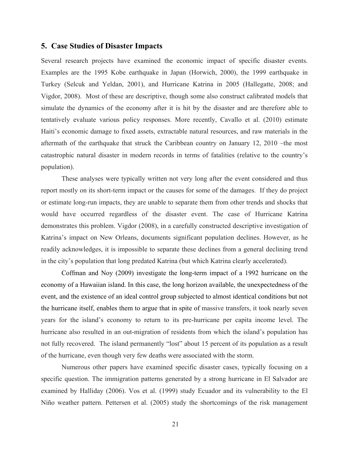#### **5. Case Studies of Disaster Impacts**

Several research projects have examined the economic impact of specific disaster events. Examples are the 1995 Kobe earthquake in Japan (Horwich, 2000), the 1999 earthquake in Turkey (Selcuk and Yeldan, 2001), and Hurricane Katrina in 2005 (Hallegatte, 2008; and Vigdor, 2008). Most of these are descriptive, though some also construct calibrated models that simulate the dynamics of the economy after it is hit by the disaster and are therefore able to tentatively evaluate various policy responses. More recently, Cavallo et al. (2010) estimate Haiti's economic damage to fixed assets, extractable natural resources, and raw materials in the aftermath of the earthquake that struck the Caribbean country on January 12, 2010 –the most catastrophic natural disaster in modern records in terms of fatalities (relative to the country's population).

These analyses were typically written not very long after the event considered and thus report mostly on its short-term impact or the causes for some of the damages. If they do project or estimate long-run impacts, they are unable to separate them from other trends and shocks that would have occurred regardless of the disaster event. The case of Hurricane Katrina demonstrates this problem. Vigdor (2008), in a carefully constructed descriptive investigation of Katrina's impact on New Orleans, documents significant population declines. However, as he readily acknowledges, it is impossible to separate these declines from a general declining trend in the city's population that long predated Katrina (but which Katrina clearly accelerated).

Coffman and Noy (2009) investigate the long-term impact of a 1992 hurricane on the economy of a Hawaiian island. In this case, the long horizon available, the unexpectedness of the event, and the existence of an ideal control group subjected to almost identical conditions but not the hurricane itself, enables them to argue that in spite of massive transfers, it took nearly seven years for the island's economy to return to its pre-hurricane per capita income level. The hurricane also resulted in an out-migration of residents from which the island's population has not fully recovered. The island permanently "lost" about 15 percent of its population as a result of the hurricane, even though very few deaths were associated with the storm.

Numerous other papers have examined specific disaster cases, typically focusing on a specific question. The immigration patterns generated by a strong hurricane in El Salvador are examined by Halliday (2006). Vos et al. (1999) study Ecuador and its vulnerability to the El Niño weather pattern. Pettersen et al. (2005) study the shortcomings of the risk management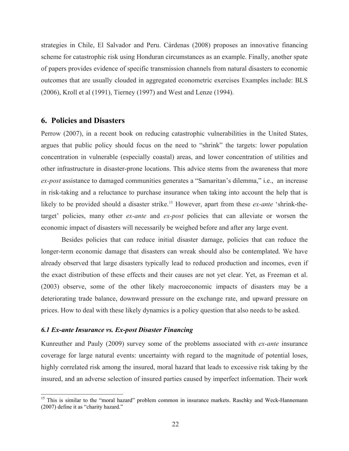<span id="page-20-0"></span>strategies in Chile, El Salvador and Peru. Cárdenas (2008) proposes an innovative financing scheme for catastrophic risk using Honduran circumstances as an example. Finally, another spate of papers provides evidence of specific transmission channels from natural disasters to economic outcomes that are usually clouded in aggregated econometric exercises Examples include: BLS (2006), Kroll et al (1991), Tierney (1997) and West and Lenze (1994).

#### **6. Policies and Disasters**

Perrow (2007), in a recent book on reducing catastrophic vulnerabilities in the United States, argues that public policy should focus on the need to "shrink" the targets: lower population concentration in vulnerable (especially coastal) areas, and lower concentration of utilities and other infrastructure in disaster-prone locations. This advice stems from the awareness that more *ex-post* assistance to damaged communities generates a "Samaritan's dilemma," i.e., an increase in risk-taking and a reluctance to purchase insurance when taking into account the help that is likely to be provided should a disaster strike.<sup>[15](#page-20-0)</sup> However, apart from these *ex-ante* 'shrink-thetarget' policies, many other *ex-ante* and *ex-post* policies that can alleviate or worsen the economic impact of disasters will necessarily be weighed before and after any large event.

Besides policies that can reduce initial disaster damage, policies that can reduce the longer-term economic damage that disasters can wreak should also be contemplated. We have already observed that large disasters typically lead to reduced production and incomes, even if the exact distribution of these effects and their causes are not yet clear. Yet, as Freeman et al. (2003) observe, some of the other likely macroeconomic impacts of disasters may be a deteriorating trade balance, downward pressure on the exchange rate, and upward pressure on prices. How to deal with these likely dynamics is a policy question that also needs to be asked.

#### *6.1 Ex-ante Insurance vs. Ex-post Disaster Financing*

 $\overline{a}$ 

Kunreuther and Pauly (2009) survey some of the problems associated with *ex-ante* insurance coverage for large natural events: uncertainty with regard to the magnitude of potential loses, highly correlated risk among the insured, moral hazard that leads to excessive risk taking by the insured, and an adverse selection of insured parties caused by imperfect information. Their work

<sup>&</sup>lt;sup>15</sup> This is similar to the "moral hazard" problem common in insurance markets. Raschky and Weck-Hannemann (2007) define it as "charity hazard."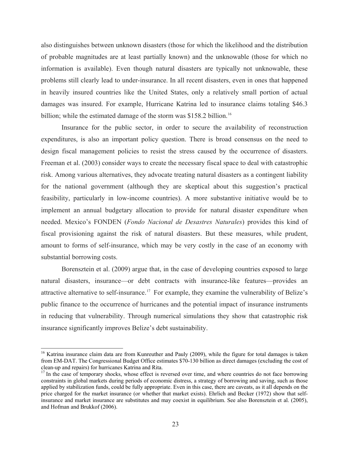<span id="page-21-0"></span>also distinguishes between unknown disasters (those for which the likelihood and the distribution of probable magnitudes are at least partially known) and the unknowable (those for which no information is available). Even though natural disasters are typically not unknowable, these problems still clearly lead to under-insurance. In all recent disasters, even in ones that happened in heavily insured countries like the United States, only a relatively small portion of actual damages was insured. For example, Hurricane Katrina led to insurance claims totaling \$46.3 billion; while the estimated damage of the storm was \$158.2 billion.<sup>[16](#page-21-0)</sup>

Insurance for the public sector, in order to secure the availability of reconstruction expenditures, is also an important policy question. There is broad consensus on the need to design fiscal management policies to resist the stress caused by the occurrence of disasters. Freeman et al. (2003) consider ways to create the necessary fiscal space to deal with catastrophic risk. Among various alternatives, they advocate treating natural disasters as a contingent liability for the national government (although they are skeptical about this suggestion's practical feasibility, particularly in low-income countries). A more substantive initiative would be to implement an annual budgetary allocation to provide for natural disaster expenditure when needed. Mexico's FONDEN (*Fondo Nacional de Desastres Naturales*) provides this kind of fiscal provisioning against the risk of natural disasters. But these measures, while prudent, amount to forms of self-insurance, which may be very costly in the case of an economy with substantial borrowing costs.

Borensztein et al. (2009) argue that, in the case of developing countries exposed to large natural disasters, insurance—or debt contracts with insurance-like features—provides an attractive alternative to self-insurance.<sup>[17](#page-21-0)</sup> For example, they examine the vulnerability of Belize's public finance to the occurrence of hurricanes and the potential impact of insurance instruments in reducing that vulnerability. Through numerical simulations they show that catastrophic risk insurance significantly improves Belize's debt sustainability.

<sup>&</sup>lt;sup>16</sup> Katrina insurance claim data are from Kunreuther and Pauly (2009), while the figure for total damages is taken from EM-DAT. The Congressional Budget Office estimates \$70-130 billion as direct damages (excluding the cost of

 $17$  In the case of temporary shocks, whose effect is reversed over time, and where countries do not face borrowing constraints in global markets during periods of economic distress, a strategy of borrowing and saving, such as those applied by stabilization funds, could be fully appropriate. Even in this case, there are caveats, as it all depends on the price charged for the market insurance (or whether that market exists). Ehrlich and Becker (1972) show that selfinsurance and market insurance are substitutes and may coexist in equilibrium. See also Borensztein et al. (2005), and Hofman and Brukkof (2006).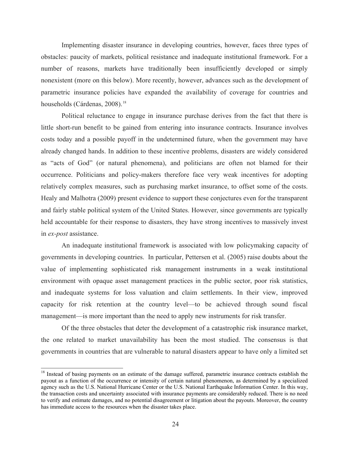<span id="page-22-0"></span>Implementing disaster insurance in developing countries, however, faces three types of obstacles: paucity of markets, political resistance and inadequate institutional framework. For a number of reasons, markets have traditionally been insufficiently developed or simply nonexistent (more on this below). More recently, however, advances such as the development of parametric insurance policies have expanded the availability of coverage for countries and households (Cárdenas, 2008).<sup>[18](#page-22-0)</sup>

Political reluctance to engage in insurance purchase derives from the fact that there is little short-run benefit to be gained from entering into insurance contracts. Insurance involves costs today and a possible payoff in the undetermined future, when the government may have already changed hands. In addition to these incentive problems, disasters are widely considered as "acts of God" (or natural phenomena), and politicians are often not blamed for their occurrence. Politicians and policy-makers therefore face very weak incentives for adopting relatively complex measures, such as purchasing market insurance, to offset some of the costs. Healy and Malhotra (2009) present evidence to support these conjectures even for the transparent and fairly stable political system of the United States. However, since governments are typically held accountable for their response to disasters, they have strong incentives to massively invest in *ex-post* assistance.

An inadequate institutional framework is associated with low policymaking capacity of governments in developing countries. In particular, Pettersen et al. (2005) raise doubts about the value of implementing sophisticated risk management instruments in a weak institutional environment with opaque asset management practices in the public sector, poor risk statistics, and inadequate systems for loss valuation and claim settlements. In their view, improved capacity for risk retention at the country level—to be achieved through sound fiscal management—is more important than the need to apply new instruments for risk transfer.

Of the three obstacles that deter the development of a catastrophic risk insurance market, the one related to market unavailability has been the most studied. The consensus is that governments in countries that are vulnerable to natural disasters appear to have only a limited set

<sup>&</sup>lt;sup>18</sup> Instead of basing payments on an estimate of the damage suffered, parametric insurance contracts establish the payout as a function of the occurrence or intensity of certain natural phenomenon, as determined by a specialized agency such as the U.S. National Hurricane Center or the U.S. National Earthquake Information Center. In this way, the transaction costs and uncertainty associated with insurance payments are considerably reduced. There is no need to verify and estimate damages, and no potential disagreement or litigation about the payouts. Moreover, the country has immediate access to the resources when the disaster takes place.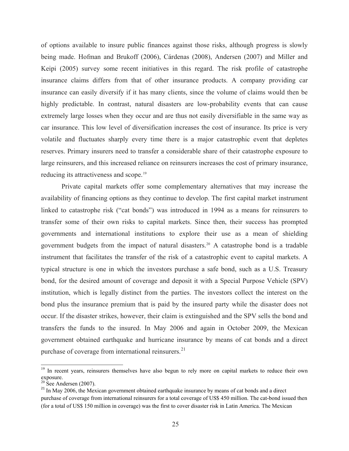<span id="page-23-0"></span>of options available to insure public finances against those risks, although progress is slowly being made. Hofman and Brukoff (2006), Cárdenas (2008), Andersen (2007) and Miller and Keipi (2005) survey some recent initiatives in this regard. The risk profile of catastrophe insurance claims differs from that of other insurance products. A company providing car insurance can easily diversify if it has many clients, since the volume of claims would then be highly predictable. In contrast, natural disasters are low-probability events that can cause extremely large losses when they occur and are thus not easily diversifiable in the same way as car insurance. This low level of diversification increases the cost of insurance. Its price is very volatile and fluctuates sharply every time there is a major catastrophic event that depletes reserves. Primary insurers need to transfer a considerable share of their catastrophe exposure to large reinsurers, and this increased reliance on reinsurers increases the cost of primary insurance, reducing its attractiveness and scope.<sup>[19](#page-23-0)</sup>

Private capital markets offer some complementary alternatives that may increase the availability of financing options as they continue to develop. The first capital market instrument linked to catastrophe risk ("cat bonds") was introduced in 1994 as a means for reinsurers to transfer some of their own risks to capital markets. Since then, their success has prompted governments and international institutions to explore their use as a mean of shielding government budgets from the impact of natural disasters.<sup>[20](#page-23-0)</sup> A catastrophe bond is a tradable instrument that facilitates the transfer of the risk of a catastrophic event to capital markets. A typical structure is one in which the investors purchase a safe bond, such as a U.S. Treasury bond, for the desired amount of coverage and deposit it with a Special Purpose Vehicle (SPV) institution, which is legally distinct from the parties. The investors collect the interest on the bond plus the insurance premium that is paid by the insured party while the disaster does not occur. If the disaster strikes, however, their claim is extinguished and the SPV sells the bond and transfers the funds to the insured. In May 2006 and again in October 2009, the Mexican government obtained earthquake and hurricane insurance by means of cat bonds and a direct purchase of coverage from international reinsurers. $^{21}$  $^{21}$  $^{21}$ 

<sup>&</sup>lt;sup>19</sup> In recent years, reinsurers themselves have also begun to rely more on capital markets to reduce their own exposure.

 $20$  See Andersen (2007).

<sup>&</sup>lt;sup>21</sup> In May 2006, the Mexican government obtained earthquake insurance by means of cat bonds and a direct purchase of coverage from international reinsurers for a total coverage of US\$ 450 million. The cat-bond issued then (for a total of US\$ 150 million in coverage) was the first to cover disaster risk in Latin America. The Mexican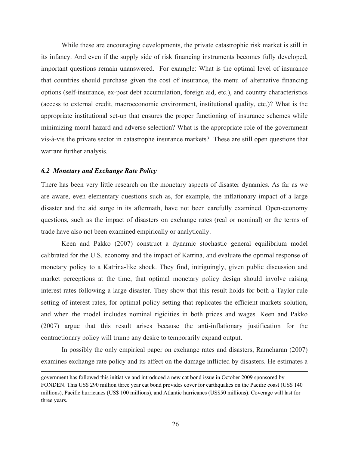While these are encouraging developments, the private catastrophic risk market is still in its infancy. And even if the supply side of risk financing instruments becomes fully developed, important questions remain unanswered. For example: What is the optimal level of insurance that countries should purchase given the cost of insurance, the menu of alternative financing options (self-insurance, ex-post debt accumulation, foreign aid, etc.), and country characteristics (access to external credit, macroeconomic environment, institutional quality, etc.)? What is the appropriate institutional set-up that ensures the proper functioning of insurance schemes while minimizing moral hazard and adverse selection? What is the appropriate role of the government vis-à-vis the private sector in catastrophe insurance markets? These are still open questions that warrant further analysis.

#### *6.2 Monetary and Exchange Rate Policy*

 $\overline{a}$ 

There has been very little research on the monetary aspects of disaster dynamics. As far as we are aware, even elementary questions such as, for example, the inflationary impact of a large disaster and the aid surge in its aftermath, have not been carefully examined. Open-economy questions, such as the impact of disasters on exchange rates (real or nominal) or the terms of trade have also not been examined empirically or analytically.

Keen and Pakko (2007) construct a dynamic stochastic general equilibrium model calibrated for the U.S. economy and the impact of Katrina, and evaluate the optimal response of monetary policy to a Katrina-like shock. They find, intriguingly, given public discussion and market perceptions at the time, that optimal monetary policy design should involve raising interest rates following a large disaster. They show that this result holds for both a Taylor-rule setting of interest rates, for optimal policy setting that replicates the efficient markets solution, and when the model includes nominal rigidities in both prices and wages. Keen and Pakko (2007) argue that this result arises because the anti-inflationary justification for the contractionary policy will trump any desire to temporarily expand output.

In possibly the only empirical paper on exchange rates and disasters, Ramcharan (2007) examines exchange rate policy and its affect on the damage inflicted by disasters. He estimates a

government has followed this initiative and introduced a new cat bond issue in October 2009 sponsored by FONDEN. This US\$ 290 million three year cat bond provides cover for earthquakes on the Pacific coast (US\$ 140 millions), Pacific hurricanes (US\$ 100 millions), and Atlantic hurricanes (US\$50 millions). Coverage will last for three years.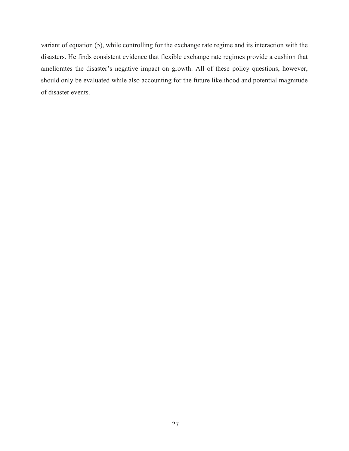variant of equation (5), while controlling for the exchange rate regime and its interaction with the disasters. He finds consistent evidence that flexible exchange rate regimes provide a cushion that ameliorates the disaster's negative impact on growth. All of these policy questions, however, should only be evaluated while also accounting for the future likelihood and potential magnitude of disaster events.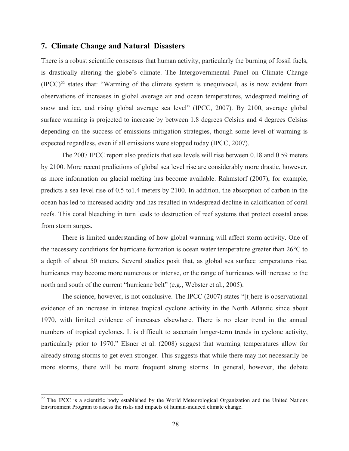#### <span id="page-26-0"></span>**7. Climate Change and Natural Disasters**

There is a robust scientific consensus that human activity, particularly the burning of fossil fuels, is drastically altering the globe's climate. The Intergovernmental Panel on Climate Change  $(IPCC)^{22}$  $(IPCC)^{22}$  $(IPCC)^{22}$  states that: "Warming of the climate system is unequivocal, as is now evident from observations of increases in global average air and ocean temperatures, widespread melting of snow and ice, and rising global average sea level" (IPCC, 2007). By 2100, average global surface warming is projected to increase by between 1.8 degrees Celsius and 4 degrees Celsius depending on the success of emissions mitigation strategies, though some level of warming is expected regardless, even if all emissions were stopped today (IPCC, 2007).

The 2007 IPCC report also predicts that sea levels will rise between 0.18 and 0.59 meters by 2100. More recent predictions of global sea level rise are considerably more drastic, however, as more information on glacial melting has become available. Rahmstorf (2007), for example, predicts a sea level rise of 0.5 to1.4 meters by 2100. In addition, the absorption of carbon in the ocean has led to increased acidity and has resulted in widespread decline in calcification of coral reefs. This coral bleaching in turn leads to destruction of reef systems that protect coastal areas from storm surges.

 There is limited understanding of how global warming will affect storm activity. One of the necessary conditions for hurricane formation is ocean water temperature greater than 26°C to a depth of about 50 meters. Several studies posit that, as global sea surface temperatures rise, hurricanes may become more numerous or intense, or the range of hurricanes will increase to the north and south of the current "hurricane belt" (e.g., Webster et al., 2005).

The science, however, is not conclusive. The IPCC (2007) states "[t]here is observational evidence of an increase in intense tropical cyclone activity in the North Atlantic since about 1970, with limited evidence of increases elsewhere. There is no clear trend in the annual numbers of tropical cyclones. It is difficult to ascertain longer-term trends in cyclone activity, particularly prior to 1970." Elsner et al. (2008) suggest that warming temperatures allow for already strong storms to get even stronger. This suggests that while there may not necessarily be more storms, there will be more frequent strong storms. In general, however, the debate

 $22$  The IPCC is a scientific body established by the World Meteorological Organization and the United Nations Environment Program to assess the risks and impacts of human-induced climate change.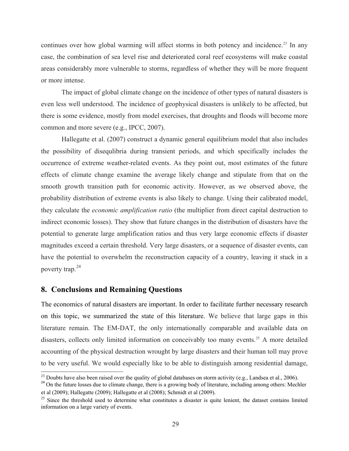<span id="page-27-0"></span>continues over how global warming will affect storms in both potency and incidence.<sup>[23](#page-27-0)</sup> In any case, the combination of sea level rise and deteriorated coral reef ecosystems will make coastal areas considerably more vulnerable to storms, regardless of whether they will be more frequent or more intense.

The impact of global climate change on the incidence of other types of natural disasters is even less well understood. The incidence of geophysical disasters is unlikely to be affected, but there is some evidence, mostly from model exercises, that droughts and floods will become more common and more severe (e.g., IPCC, 2007).

Hallegatte et al. (2007) construct a dynamic general equilibrium model that also includes the possibility of disequlibria during transient periods, and which specifically includes the occurrence of extreme weather-related events. As they point out, most estimates of the future effects of climate change examine the average likely change and stipulate from that on the smooth growth transition path for economic activity. However, as we observed above, the probability distribution of extreme events is also likely to change. Using their calibrated model, they calculate the *economic amplification ratio* (the multiplier from direct capital destruction to indirect economic losses). They show that future changes in the distribution of disasters have the potential to generate large amplification ratios and thus very large economic effects if disaster magnitudes exceed a certain threshold. Very large disasters, or a sequence of disaster events, can have the potential to overwhelm the reconstruction capacity of a country, leaving it stuck in a poverty trap.[24](#page-27-0)

#### **8. Conclusions and Remaining Questions**

 $\overline{a}$ 

The economics of natural disasters are important. In order to facilitate further necessary research on this topic, we summarized the state of this literature. We believe that large gaps in this literature remain. The EM-DAT, the only internationally comparable and available data on disasters, collects only limited information on conceivably too many events.<sup>[25](#page-27-0)</sup> A more detailed accounting of the physical destruction wrought by large disasters and their human toll may prove to be very useful. We would especially like to be able to distinguish among residential damage,

<sup>&</sup>lt;sup>23</sup> Doubts have also been raised over the quality of global databases on storm activity (e.g., Landsea et al., 2006).

<sup>&</sup>lt;sup>24</sup> On the future losses due to climate change, there is a growing body of literature, including among others: Mechler et al (2009); Hallegatte (2009); Hallegatte et al (2008); Schmidt et al (2009).

<sup>&</sup>lt;sup>25</sup> Since the threshold used to determine what constitutes a disaster is quite lenient, the dataset contains limited information on a large variety of events.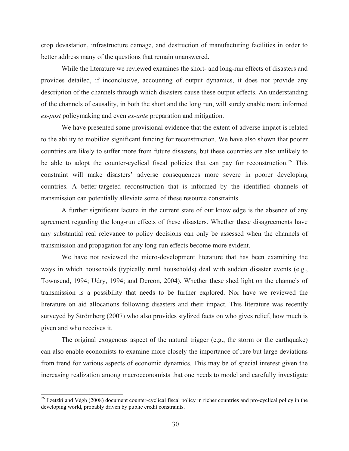<span id="page-28-0"></span>crop devastation, infrastructure damage, and destruction of manufacturing facilities in order to better address many of the questions that remain unanswered.

While the literature we reviewed examines the short- and long-run effects of disasters and provides detailed, if inconclusive, accounting of output dynamics, it does not provide any description of the channels through which disasters cause these output effects. An understanding of the channels of causality, in both the short and the long run, will surely enable more informed *ex-post* policymaking and even *ex-ante* preparation and mitigation.

We have presented some provisional evidence that the extent of adverse impact is related to the ability to mobilize significant funding for reconstruction. We have also shown that poorer countries are likely to suffer more from future disasters, but these countries are also unlikely to be able to adopt the counter-cyclical fiscal policies that can pay for reconstruction.<sup>[26](#page-28-0)</sup> This constraint will make disasters' adverse consequences more severe in poorer developing countries. A better-targeted reconstruction that is informed by the identified channels of transmission can potentially alleviate some of these resource constraints.

A further significant lacuna in the current state of our knowledge is the absence of any agreement regarding the long-run effects of these disasters. Whether these disagreements have any substantial real relevance to policy decisions can only be assessed when the channels of transmission and propagation for any long-run effects become more evident.

We have not reviewed the micro-development literature that has been examining the ways in which households (typically rural households) deal with sudden disaster events (e.g., Townsend, 1994; Udry, 1994; and Dercon, 2004). Whether these shed light on the channels of transmission is a possibility that needs to be further explored. Nor have we reviewed the literature on aid allocations following disasters and their impact. This literature was recently surveyed by Strömberg (2007) who also provides stylized facts on who gives relief, how much is given and who receives it.

The original exogenous aspect of the natural trigger (e.g., the storm or the earthquake) can also enable economists to examine more closely the importance of rare but large deviations from trend for various aspects of economic dynamics. This may be of special interest given the increasing realization among macroeconomists that one needs to model and carefully investigate

<sup>&</sup>lt;sup>26</sup> Ilzetzki and Végh (2008) document counter-cyclical fiscal policy in richer countries and pro-cyclical policy in the developing world, probably driven by public credit constraints.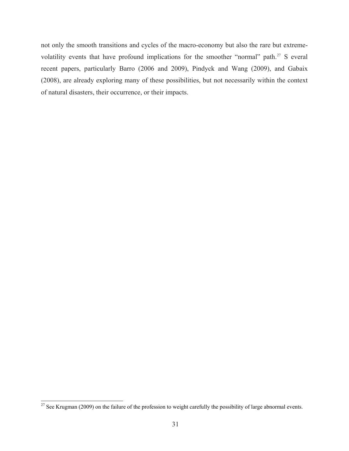<span id="page-29-0"></span>not only the smooth transitions and cycles of the macro-economy but also the rare but extreme-volatility events that have profound implications for the smoother "normal" path.<sup>[27](#page-29-0)</sup> S everal recent papers, particularly Barro (2006 and 2009), Pindyck and Wang (2009), and Gabaix (2008), are already exploring many of these possibilities, but not necessarily within the context of natural disasters, their occurrence, or their impacts.

<sup>&</sup>lt;sup>27</sup> See Krugman (2009) on the failure of the profession to weight carefully the possibility of large abnormal events.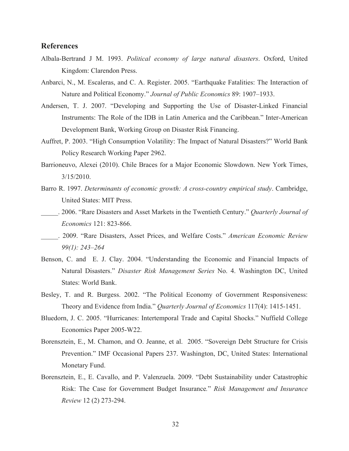#### **References**

- Albala-Bertrand J M. 1993. *Political economy of large natural disasters*. Oxford, United Kingdom: Clarendon Press.
- Anbarci, N., M. Escaleras, and C. A. Register. 2005. "Earthquake Fatalities: The Interaction of Nature and Political Economy." *Journal of Public Economics* 89: 1907–1933.
- Andersen, T. J. 2007. "Developing and Supporting the Use of Disaster-Linked Financial Instruments: The Role of the IDB in Latin America and the Caribbean." Inter-American Development Bank, Working Group on Disaster Risk Financing.
- Auffret, P. 2003. "High Consumption Volatility: The Impact of Natural Disasters?" World Bank Policy Research Working Paper 2962.
- Barrioneuvo, Alexei (2010). Chile Braces for a Major Economic Slowdown. New York Times, 3/15/2010.
- Barro R. 1997. *Determinants of economic growth: A cross-country empirical study*. Cambridge, United States: MIT Press.
- \_\_\_\_\_. 2006. "Rare Disasters and Asset Markets in the Twentieth Century." *Quarterly Journal of Economics* 121: 823-866.
- \_\_\_\_\_. 2009. "Rare Disasters, Asset Prices, and Welfare Costs." *American Economic Review 99(1): 243–264*
- Benson, C. and E. J. Clay. 2004. "Understanding the Economic and Financial Impacts of Natural Disasters." *Disaster Risk Management Series* No. 4. Washington DC, United States: World Bank.
- Besley, T. and R. Burgess. 2002. "The Political Economy of Government Responsiveness: Theory and Evidence from India." *Quarterly Journal of Economics* 117(4): 1415-1451.
- Bluedorn, J. C. 2005. "Hurricanes: Intertemporal Trade and Capital Shocks." Nuffield College Economics Paper 2005-W22.
- Borensztein, E., M. Chamon, and O. Jeanne, et al. 2005. "Sovereign Debt Structure for Crisis Prevention." IMF Occasional Papers 237. Washington, DC, United States: International Monetary Fund.
- Borensztein, E., E. Cavallo, and P. Valenzuela. 2009. "Debt Sustainability under Catastrophic Risk: The Case for Government Budget Insurance*.*" *Risk Management and Insurance Review* 12 (2) 273-294.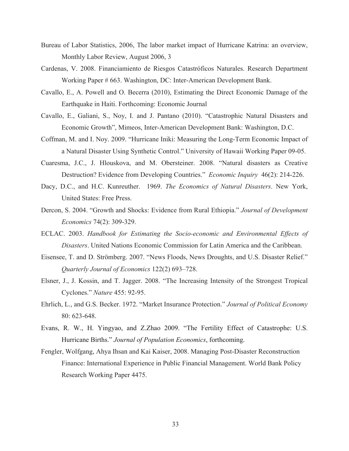- Bureau of Labor Statistics, 2006, The labor market impact of Hurricane Katrina: an overview, Monthly Labor Review, August 2006, 3
- Cardenas, V. 2008. Financiamiento de Riesgos Catastróficos Naturales. Research Department Working Paper # 663. Washington, DC: Inter-American Development Bank.
- Cavallo, E., A. Powell and O. Becerra (2010), Estimating the Direct Economic Damage of the Earthquake in Haiti. Forthcoming: Economic Journal
- Cavallo, E., Galiani, S., Noy, I. and J. Pantano (2010). "Catastrophic Natural Disasters and Economic Growth", Mimeos, Inter-American Development Bank: Washington, D.C.
- Coffman, M. and I. Noy. 2009. "Hurricane Iniki: Measuring the Long-Term Economic Impact of a Natural Disaster Using Synthetic Control." University of Hawaii Working Paper 09-05.
- Cuaresma, J.C., J. Hlouskova, and M. Obersteiner. 2008. "Natural disasters as Creative Destruction? Evidence from Developing Countries." *Economic Inquiry* 46(2): 214-226.
- Dacy, D.C., and H.C. Kunreuther. 1969. *The Economics of Natural Disasters*. New York, United States: Free Press.
- Dercon, S. 2004. "Growth and Shocks: Evidence from Rural Ethiopia." *Journal of Development Economics* 74(2): 309-329.
- ECLAC. 2003. *Handbook for Estimating the Socio-economic and Environmental Effects of Disasters*. United Nations Economic Commission for Latin America and the Caribbean.
- Eisensee, T. and D. Strömberg. 2007. "News Floods, News Droughts, and U.S. Disaster Relief." *Quarterly Journal of Economics* 122(2) 693–728.
- Elsner, J., J. Kossin, and T. Jagger. 2008. "The Increasing Intensity of the Strongest Tropical Cyclones." *Nature* 455: 92-95.
- Ehrlich, L., and G.S. Becker. 1972. "Market Insurance Protection." *Journal of Political Economy* 80: 623-648.
- Evans, R. W., H. Yingyao, and Z.Zhao 2009. "The Fertility Effect of Catastrophe: U.S. Hurricane Births." *Journal of Population Economics*, forthcoming.
- Fengler, Wolfgang, Ahya Ihsan and Kai Kaiser, 2008. Managing Post-Disaster Reconstruction Finance: International Experience in Public Financial Management. World Bank Policy Research Working Paper 4475.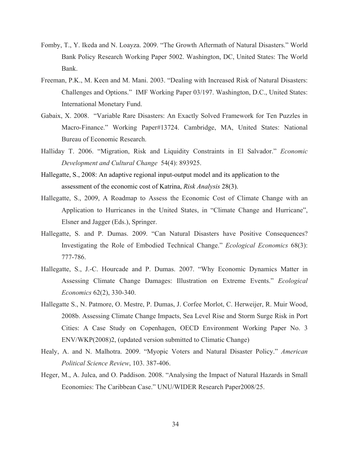- Fomby, T., Y. Ikeda and N. Loayza. 2009. "The Growth Aftermath of Natural Disasters." World Bank Policy Research Working Paper 5002. Washington, DC, United States: The World Bank.
- Freeman, P.K., M. Keen and M. Mani. 2003. "Dealing with Increased Risk of Natural Disasters: Challenges and Options." IMF Working Paper 03/197. Washington, D.C., United States: International Monetary Fund.
- Gabaix, X. 2008. "Variable Rare Disasters: An Exactly Solved Framework for Ten Puzzles in Macro-Finance." Working Paper#13724. Cambridge, MA, United States: National Bureau of Economic Research.
- Halliday T. 2006. "Migration, Risk and Liquidity Constraints in El Salvador." *Economic Development and Cultural Change* 54(4): 893925.
- Hallegatte, S., 2008: An adaptive regional input-output model and its application to the assessment of the economic cost of Katrina, *Risk Analysis* 28(3).
- Hallegatte, S., 2009, A Roadmap to Assess the Economic Cost of Climate Change with an Application to Hurricanes in the United States, in "Climate Change and Hurricane", Elsner and Jagger (Eds.), Springer.
- Hallegatte, S. and P. Dumas. 2009. "Can Natural Disasters have Positive Consequences? Investigating the Role of Embodied Technical Change." *Ecological Economics* 68(3): 777-786.
- Hallegatte, S., J.-C. Hourcade and P. Dumas. 2007. "Why Economic Dynamics Matter in Assessing Climate Change Damages: Illustration on Extreme Events." *Ecological Economics* 62(2), 330-340.
- Hallegatte S., N. Patmore, O. Mestre, P. Dumas, J. Corfee Morlot, C. Herweijer, R. Muir Wood, 2008b. Assessing Climate Change Impacts, Sea Level Rise and Storm Surge Risk in Port Cities: A Case Study on Copenhagen, OECD Environment Working Paper No. 3 ENV/WKP(2008)2, (updated version submitted to Climatic Change)
- Healy, A. and N. Malhotra. 2009. "Myopic Voters and Natural Disaster Policy." *American Political Science Review*, 103. 387-406.
- Heger, M., A. Julca, and O. Paddison. 2008. "Analysing the Impact of Natural Hazards in Small Economies: The Caribbean Case." UNU/WIDER Research Paper2008/25.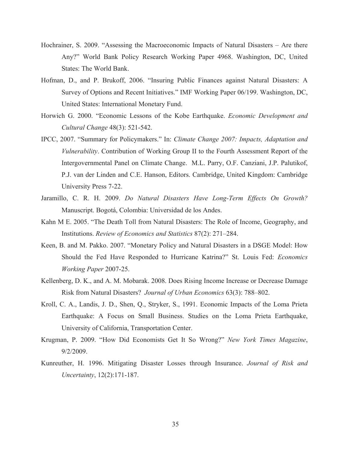- Hochrainer, S. 2009. "Assessing the Macroeconomic Impacts of Natural Disasters Are there Any?" World Bank Policy Research Working Paper 4968. Washington, DC, United States: The World Bank.
- Hofman, D., and P. Brukoff, 2006. "Insuring Public Finances against Natural Disasters: A Survey of Options and Recent Initiatives." IMF Working Paper 06/199. Washington, DC, United States: International Monetary Fund.
- Horwich G. 2000. "Economic Lessons of the Kobe Earthquake. *Economic Development and Cultural Change* 48(3): 521-542.
- IPCC, 2007. "Summary for Policymakers." In: *Climate Change 2007: Impacts, Adaptation and Vulnerability*. Contribution of Working Group II to the Fourth Assessment Report of the Intergovernmental Panel on Climate Change. M.L. Parry, O.F. Canziani, J.P. Palutikof, P.J. van der Linden and C.E. Hanson, Editors. Cambridge, United Kingdom: Cambridge University Press 7-22.
- Jaramillo, C. R. H. 2009. *Do Natural Disasters Have Long-Term Effects On Growth?* Manuscript. Bogotá, Colombia: Universidad de los Andes.
- Kahn M E. 2005. "The Death Toll from Natural Disasters: The Role of Income, Geography, and Institutions. *Review of Economics and Statistics* 87(2): 271–284.
- Keen, B. and M. Pakko. 2007. "Monetary Policy and Natural Disasters in a DSGE Model: How Should the Fed Have Responded to Hurricane Katrina?" St. Louis Fed: *Economics Working Paper* 2007-25.
- Kellenberg, D. K., and A. M. Mobarak. 2008. Does Rising Income Increase or Decrease Damage Risk from Natural Disasters? *Journal of Urban Economics* 63(3): 788–802.
- Kroll, C. A., Landis, J. D., Shen, Q., Stryker, S., 1991. Economic Impacts of the Loma Prieta Earthquake: A Focus on Small Business. Studies on the Loma Prieta Earthquake, University of California, Transportation Center.
- Krugman, P. 2009. "How Did Economists Get It So Wrong?" *New York Times Magazine*, 9/2/2009.
- Kunreuther, H. 1996. Mitigating Disaster Losses through Insurance. *Journal of Risk and Uncertainty*, 12(2):171-187.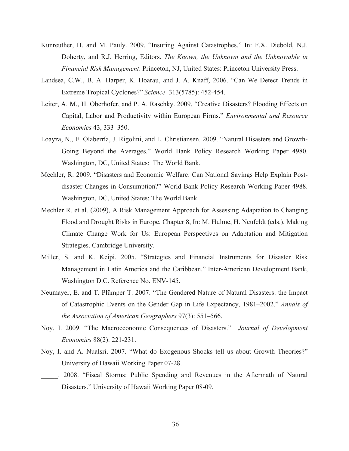- Kunreuther, H. and M. Pauly. 2009. "Insuring Against Catastrophes." In: F.X. Diebold, N.J. Doherty, and R.J. Herring, Editors. *The Known, the Unknown and the Unknowable in Financial Risk Management*. Princeton, NJ, United States: Princeton University Press.
- Landsea, C.W., B. A. Harper, K. Hoarau, and J. A. Knaff, 2006. "Can We Detect Trends in Extreme Tropical Cyclones?" *Science* 313(5785): 452-454.
- Leiter, A. M., H. Oberhofer, and P. A. Raschky. 2009. "Creative Disasters? Flooding Effects on Capital, Labor and Productivity within European Firms." *Environmental and Resource Economics* 43, 333–350.
- Loayza, N., E. Olaberría, J. Rigolini, and L. Christiansen. 2009. "Natural Disasters and Growth-Going Beyond the Averages." World Bank Policy Research Working Paper 4980. Washington, DC, United States: The World Bank.
- Mechler, R. 2009. "Disasters and Economic Welfare: Can National Savings Help Explain Postdisaster Changes in Consumption?" World Bank Policy Research Working Paper 4988. Washington, DC, United States: The World Bank.
- Mechler R. et al. (2009), A Risk Management Approach for Assessing Adaptation to Changing Flood and Drought Risks in Europe, Chapter 8, In: M. Hulme, H. Neufeldt (eds.). Making Climate Change Work for Us: European Perspectives on Adaptation and Mitigation Strategies. Cambridge University.
- Miller, S. and K. Keipi. 2005. "Strategies and Financial Instruments for Disaster Risk Management in Latin America and the Caribbean." Inter-American Development Bank, Washington D.C. Reference No. ENV-145.
- Neumayer, E. and T. Plümper T. 2007. "The Gendered Nature of Natural Disasters: the Impact of Catastrophic Events on the Gender Gap in Life Expectancy, 1981–2002." *Annals of the Association of American Geographers* 97(3): 551–566.
- Noy, I. 2009. "The Macroeconomic Consequences of Disasters." *Journal of Development Economics* 88(2): 221-231.
- Noy, I. and A. Nualsri. 2007. "What do Exogenous Shocks tell us about Growth Theories?" University of Hawaii Working Paper 07-28.
- . 2008. "Fiscal Storms: Public Spending and Revenues in the Aftermath of Natural Disasters." University of Hawaii Working Paper 08-09.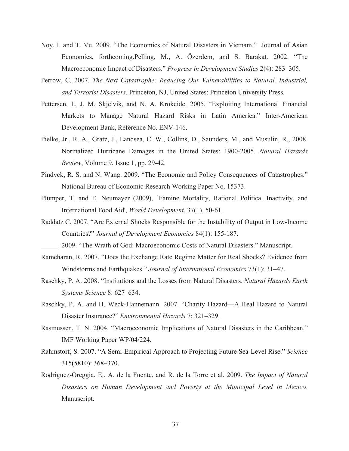- Noy, I. and T. Vu. 2009. "The Economics of Natural Disasters in Vietnam." Journal of Asian Economics, forthcoming.Pelling, M., A. Özerdem, and S. Barakat. 2002. "The Macroeconomic Impact of Disasters." *Progress in Development Studies* 2(4): 283–305.
- Perrow, C. 2007. *The Next Catastrophe: Reducing Our Vulnerabilities to Natural, Industrial, and Terrorist Disasters*. Princeton, NJ, United States: Princeton University Press.
- Pettersen, I., J. M. Skjelvik, and N. A. Krokeide. 2005. "Exploiting International Financial Markets to Manage Natural Hazard Risks in Latin America." Inter-American Development Bank, Reference No. ENV-146.
- Pielke, Jr., R. A., Gratz, J., Landsea, C. W., Collins, D., Saunders, M., and Musulin, R., 2008. Normalized Hurricane Damages in the United States: 1900-2005. *Natural Hazards Review*, Volume 9, Issue 1, pp. 29-42.
- Pindyck, R. S. and N. Wang. 2009. "The Economic and Policy Consequences of Catastrophes." National Bureau of Economic Research Working Paper No. 15373.
- Plümper, T. and E. Neumayer (2009), `Famine Mortality, Rational Political Inactivity, and International Food Aid', *World Development*, 37(1), 50-61.
- Raddatz C. 2007. "Are External Shocks Responsible for the Instability of Output in Low-Income Countries?" *Journal of Development Economics* 84(1): 155-187.

\_\_\_\_\_. 2009. "The Wrath of God: Macroeconomic Costs of Natural Disasters." Manuscript.

- Ramcharan, R. 2007. "Does the Exchange Rate Regime Matter for Real Shocks? Evidence from Windstorms and Earthquakes." *Journal of International Economics* 73(1): 31–47.
- Raschky, P. A. 2008. "Institutions and the Losses from Natural Disasters. *Natural Hazards Earth Systems Science* 8: 627–634.
- Raschky, P. A. and H. Weck-Hannemann. 2007. "Charity Hazard—A Real Hazard to Natural Disaster Insurance?" *Environmental Hazards* 7: 321–329.
- Rasmussen, T. N. 2004. "Macroeconomic Implications of Natural Disasters in the Caribbean." IMF Working Paper WP/04/224.
- Rahmstorf, S. 2007. "A Semi-Empirical Approach to Projecting Future Sea-Level Rise." *Science* 315(5810): 368–370.
- Rodriguez-Oreggia, E., A. de la Fuente, and R. de la Torre et al. 2009. *The Impact of Natural Disasters on Human Development and Poverty at the Municipal Level in Mexico*. Manuscript.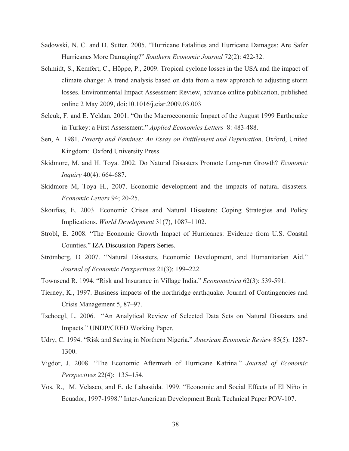- Sadowski, N. C. and D. Sutter. 2005. "Hurricane Fatalities and Hurricane Damages: Are Safer Hurricanes More Damaging?" *Southern Economic Journal* 72(2): 422-32.
- Schmidt, S., Kemfert, C., Höppe, P., 2009. Tropical cyclone losses in the USA and the impact of climate change: A trend analysis based on data from a new approach to adjusting storm losses. Environmental Impact Assessment Review, advance online publication, published online 2 May 2009, doi:10.1016/j.eiar.2009.03.003
- Selcuk, F. and E. Yeldan. 2001. "On the Macroeconomic Impact of the August 1999 Earthquake in Turkey: a First Assessment." *Applied Economics Letters* 8: 483-488.
- Sen, A. 1981. *Poverty and Famines: An Essay on Entitlement and Deprivation*. Oxford, United Kingdom: Oxford University Press.
- Skidmore, M. and H. Toya. 2002. Do Natural Disasters Promote Long-run Growth? *Economic Inquiry* 40(4): 664-687.
- Skidmore M, Toya H., 2007. Economic development and the impacts of natural disasters. *Economic Letters* 94; 20-25.
- Skoufias, E. 2003. Economic Crises and Natural Disasters: Coping Strategies and Policy Implications. *World Development* 31(7), 1087–1102.
- Strobl, E. 2008. "The Economic Growth Impact of Hurricanes: Evidence from U.S. Coastal Counties." IZA Discussion Papers Series.
- Strömberg, D 2007. "Natural Disasters, Economic Development, and Humanitarian Aid." *Journal of Economic Perspectives* 21(3): 199–222.
- Townsend R. 1994. "Risk and Insurance in Village India." *Econometrica* 62(3): 539-591.
- Tierney, K., 1997. Business impacts of the northridge earthquake. Journal of Contingencies and Crisis Management 5, 87–97.
- Tschoegl, L. 2006. "An Analytical Review of Selected Data Sets on Natural Disasters and Impacts." UNDP/CRED Working Paper.
- Udry, C. 1994. "Risk and Saving in Northern Nigeria." *American Economic Review* 85(5): 1287- 1300.
- Vigdor, J. 2008. "The Economic Aftermath of Hurricane Katrina." *Journal of Economic Perspectives* 22(4): 135–154.
- Vos, R., M. Velasco, and E. de Labastida. 1999. "Economic and Social Effects of El Niño in Ecuador, 1997-1998." Inter-American Development Bank Technical Paper POV-107.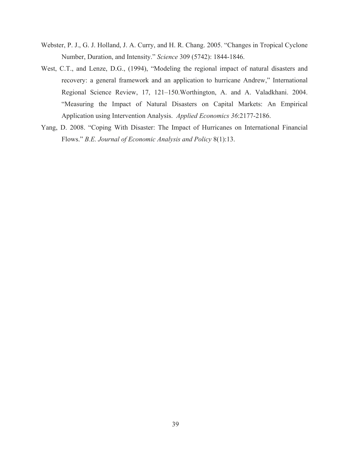- Webster, P. J., G. J. Holland, J. A. Curry, and H. R. Chang. 2005. "Changes in Tropical Cyclone Number, Duration, and Intensity." *Science* 309 (5742): 1844-1846.
- West, C.T., and Lenze, D.G., (1994), "Modeling the regional impact of natural disasters and recovery: a general framework and an application to hurricane Andrew," International Regional Science Review, 17, 121–150.Worthington, A. and A. Valadkhani. 2004. "Measuring the Impact of Natural Disasters on Capital Markets: An Empirical Application using Intervention Analysis. *Applied Economics 36*:2177-2186.
- Yang, D. 2008. "Coping With Disaster: The Impact of Hurricanes on International Financial Flows." *B.E. Journal of Economic Analysis and Policy* 8(1):13.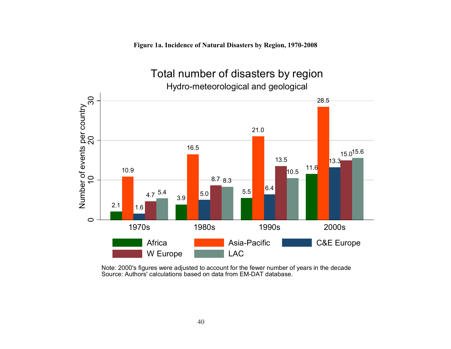**Figure 1a. Incidence of Natural Disasters by Region, 1970-2008** 

### Hydro-meteorological and geological Total number of disasters by region



Note: 2000's figures were adjusted to account for the fewer number of years in the decade Source: Authors' calculations based on data from EM-DAT database.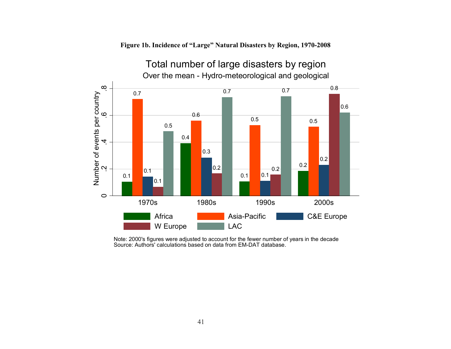

**Figure 1b. Incidence of "Large" Natural Disasters by Region, 1970-2008** 

Note: 2000's figures were adjusted to account for the fewer number of years in the decade Source: Authors' calculations based on data from EM-DAT database.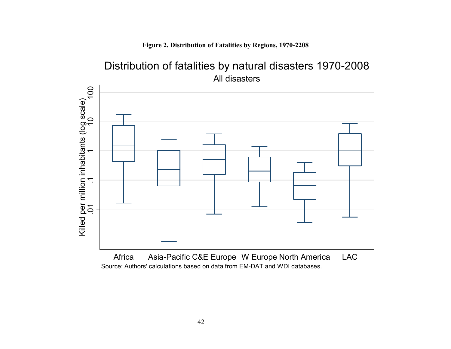

**Figure 2. Distribution of Fatalities by Regions, 1970-2208**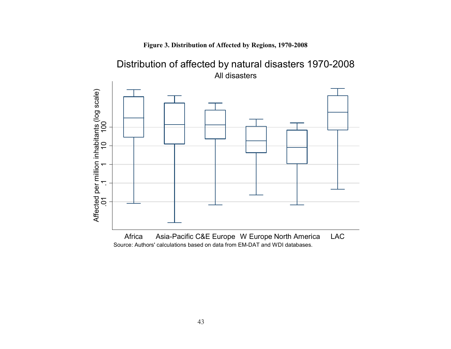#### **Figure 3. Distribution of Affected by Regions, 1970-2008**

All disasters Distribution of affected by natural disasters 1970-2008



Source: Authors' calculations based on data from EM-DAT and WDI databases.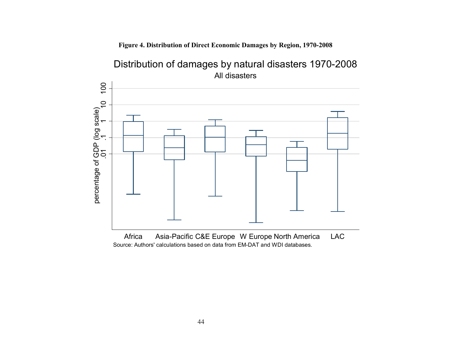

### All disasters Distribution of damages by natural disasters 1970-2008



Source: Authors' calculations based on data from EM-DAT and WDI databases.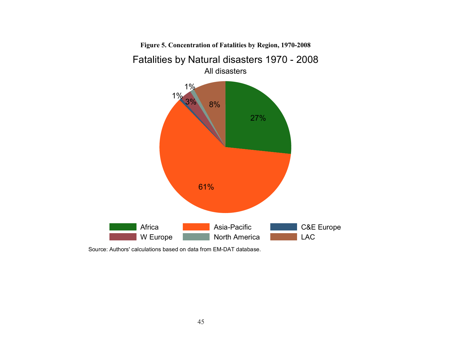

Source: Authors' calculations based on data from EM-DAT database.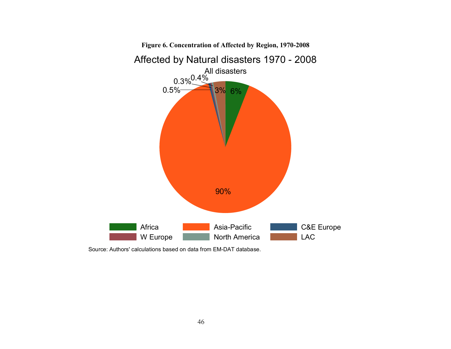

Source: Authors' calculations based on data from EM-DAT database.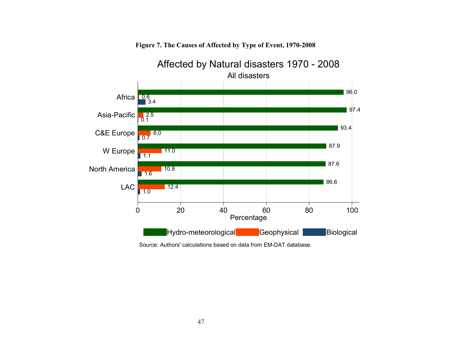

#### **Figure 7. The Causes of Affected by Type of Event, 1970-2008**

Source: Authors' calculations based on data from EM-DAT database.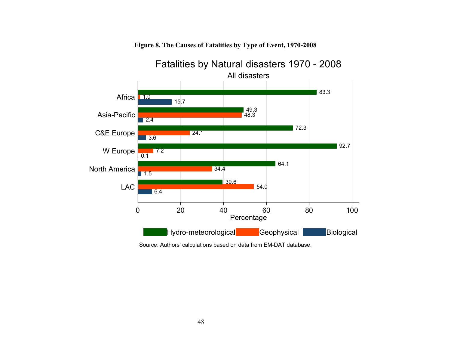

#### **Figure 8. The Causes of Fatalities by Type of Event, 1970-2008**

Source: Authors' calculations based on data from EM-DAT database.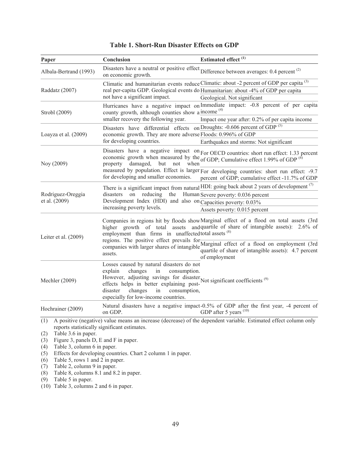|  | <b>Table 1. Short-Run Disaster Effects on GDP</b> |  |  |  |
|--|---------------------------------------------------|--|--|--|
|--|---------------------------------------------------|--|--|--|

| Paper                                                                                                                          | Conclusion                                                                                                                                                                                                                                                                                                    | Estimated effect <sup>(1)</sup>                                                                                                                                                                                                                                                                                                                                                              |  |
|--------------------------------------------------------------------------------------------------------------------------------|---------------------------------------------------------------------------------------------------------------------------------------------------------------------------------------------------------------------------------------------------------------------------------------------------------------|----------------------------------------------------------------------------------------------------------------------------------------------------------------------------------------------------------------------------------------------------------------------------------------------------------------------------------------------------------------------------------------------|--|
| Albala-Bertrand (1993)                                                                                                         | on economic growth.                                                                                                                                                                                                                                                                                           | Disasters have a neutral or positive effect Difference between averages: 0.4 percent <sup>(2)</sup>                                                                                                                                                                                                                                                                                          |  |
|                                                                                                                                |                                                                                                                                                                                                                                                                                                               | Climatic and humanitarian events reduce Climatic: about -2 percent of GDP per capita <sup>(3)</sup>                                                                                                                                                                                                                                                                                          |  |
| Raddatz (2007)                                                                                                                 |                                                                                                                                                                                                                                                                                                               | real per-capita GDP. Geological events do Humanitarian: about -4% of GDP per capita                                                                                                                                                                                                                                                                                                          |  |
|                                                                                                                                | not have a significant impact.                                                                                                                                                                                                                                                                                | Geological. Not significant                                                                                                                                                                                                                                                                                                                                                                  |  |
| Strobl (2009)                                                                                                                  | county growth, although counties show a income (4)                                                                                                                                                                                                                                                            | Hurricanes have a negative impact on Immediate impact: -0.8 percent of per capita                                                                                                                                                                                                                                                                                                            |  |
|                                                                                                                                | smaller recovery the following year.                                                                                                                                                                                                                                                                          | Impact one year after: 0.2% of per capita income                                                                                                                                                                                                                                                                                                                                             |  |
|                                                                                                                                | Disasters have differential effects                                                                                                                                                                                                                                                                           | on Droughts: -0.606 percent of GDP <sup>(5)</sup>                                                                                                                                                                                                                                                                                                                                            |  |
| Loayza et al. (2009)                                                                                                           | economic growth. They are more adverse Floods: 0.996% of GDP                                                                                                                                                                                                                                                  |                                                                                                                                                                                                                                                                                                                                                                                              |  |
|                                                                                                                                | for developing countries.                                                                                                                                                                                                                                                                                     | Earthquakes and storms: Not significant                                                                                                                                                                                                                                                                                                                                                      |  |
| Noy (2009)                                                                                                                     | Disasters have a negative impact on For OECD countries: short run effect: 1.33 percent<br>economic growth when measured by the $\overline{0}$ Cumulative effect 1.99% of GDP <sup>(6)</sup><br>damaged,<br>but<br>property<br>when<br>not                                                                     |                                                                                                                                                                                                                                                                                                                                                                                              |  |
|                                                                                                                                | for developing and smaller economies.                                                                                                                                                                                                                                                                         | measured by population. Effect is larger For developing countries: short run effect: -9.7<br>percent of GDP; cumulative effect -11.7% of GDP                                                                                                                                                                                                                                                 |  |
|                                                                                                                                |                                                                                                                                                                                                                                                                                                               | There is a significant impact from natural $\underline{HDI}$ : going back about 2 years of development (7)                                                                                                                                                                                                                                                                                   |  |
| Rodriguez-Oreggia                                                                                                              | Human Severe poverty: 0.036 percent<br>disasters on reducing<br>the                                                                                                                                                                                                                                           |                                                                                                                                                                                                                                                                                                                                                                                              |  |
| et al. (2009)                                                                                                                  | Development Index (HDI) and also on $\overline{C}$ apacities poverty: 0.03%                                                                                                                                                                                                                                   |                                                                                                                                                                                                                                                                                                                                                                                              |  |
|                                                                                                                                | increasing poverty levels.                                                                                                                                                                                                                                                                                    | Assets poverty: 0.015 percent                                                                                                                                                                                                                                                                                                                                                                |  |
| Leiter et al. $(2009)$                                                                                                         | higher growth of total assets<br>employment than firms in unaffected total assets (8)<br>assets.                                                                                                                                                                                                              | Companies in regions hit by floods showMarginal effect of a flood on total assets (3rd<br>and quartile of share of intangible assets): 2.6% of<br>regions. The positive effect prevails for $\frac{\text{Marginal effect of a flood on employment (3rd)} }{\text{marginal effect of a flood on employment (3rd)} }$<br>quartile of share of intangible assets): 4.7 percent<br>of employment |  |
| Mechler (2009)                                                                                                                 | Losses caused by natural disasters do not<br>explain<br>changes<br>in<br>consumption.<br>However, adjusting savings for disaster Not significant coefficients <sup>(9)</sup><br>effects helps in better explaining post-<br>disaster<br>changes<br>in<br>consumption,<br>especially for low-income countries. |                                                                                                                                                                                                                                                                                                                                                                                              |  |
| Hochrainer (2009)                                                                                                              | on GDP.                                                                                                                                                                                                                                                                                                       | Natural disasters have a negative impact-0.5% of GDP after the first year, -4 percent of<br>GDP after 5 years (10)                                                                                                                                                                                                                                                                           |  |
| (1)<br>Table 3.6 in paper.<br>(2)<br>Figure 3, panels D, E and F in paper.<br>(3)<br>Table 3, column 6 in paper.<br>(4)<br>(5) | reports statistically significant estimates.<br>Effects for developing countries. Chart 2 column 1 in paper.                                                                                                                                                                                                  | A positive (negative) value means an increase (decrease) of the dependent variable. Estimated effect column only                                                                                                                                                                                                                                                                             |  |

- (6) Table 5, rows 1 and 2 in paper.
- (7) Table 2, column 9 in paper.
- (8) Table 8, columns 8.1 and 8.2 in paper.
- (9) Table 5 in paper.
- (10) Table 3, columns 2 and 6 in paper.